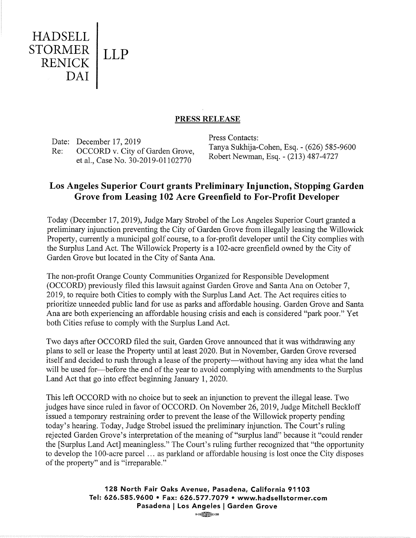**HADSELL LLP** 

**STORMER** 

**RENICK** 

**DAI** 

## **PRESS RELEASE**

Date: December 17, 2019 Re: OCCORD v. City of Garden Grove, et al., Case No. 30-2019-01102770

Press Contacts: Tanya Sukhija-Cohen, Esq. - (626) 585-9600 Robert Newman, Esq. - (213) 487-4727

## **Los Angeles Superior Court grants Preliminary Injunction, Stopping Garden Grove from Leasing 102 Acre Greenfield to For-Profit Developer**

Today (December 17, 2019), Judge Mary Strobel of the Los Angeles Superior Court granted a preliminary injunction preventing the City of Garden Grove from illegally leasing the Willowick Property, currently a municipal golf course, to a for-profit developer until the City complies with the Surplus Land Act. The Willowick Property is a 102-acre greenfield owned by the City of Garden Grove but located in the City of Santa Ana.

The non-profit Orange County Communities Organized for Responsible Development (OCCORD) previously filed this lawsuit against Garden Grove and Santa Ana on October 7, 2019, to require both Cities to comply with the Surplus Land Act. The Act requires cities to prioritize unneeded public land for use as parks and affordable housing. Garden Grove and Santa Ana are both experiencing an affordable housing crisis and each is considered "park poor." Yet both Cities refuse to comply with the Surplus Land Act.

Two days after OCCORD filed the suit, Garden Grove announced that it was withdrawing any plans to sell or lease the Property until at least 2020. But in November, Garden Grove reversed itself and decided to rush through a lease of the property—without having any idea what the land will be used for—before the end of the year to avoid complying with amendments to the Surplus Land Act that go into effect beginning January **1,** 2020.

This left OCCORD with no choice but to seek an injunction to prevent the illegal lease. Two judges have since ruled in favor of OCCORD. On November 26, 2019, Judge Mitchell Beckloff issued a temporary restraining order to prevent the lease of the Willowick property pending today's hearing. Today, Judge Strobel issued the preliminary injunction. The Court's ruling rejected Garden Grove's interpretation of the meaning of "surplus land" because it "could render the [Surplus Land Act] meaningless." The Court's ruling further recognized that "the opportunity to develop the 100-acre parcel ... as parkland or affordable housing is lost once the City disposes of the property" and is "irreparable."

> **128 North Fair Oaks Avenue, Pasadena, California 91103 Tel: 626.585.9600 • Fax: 626.577.7079 • www.hadsellstormer.com Pasadena I Los Angeles I Garden Grove ®~28**